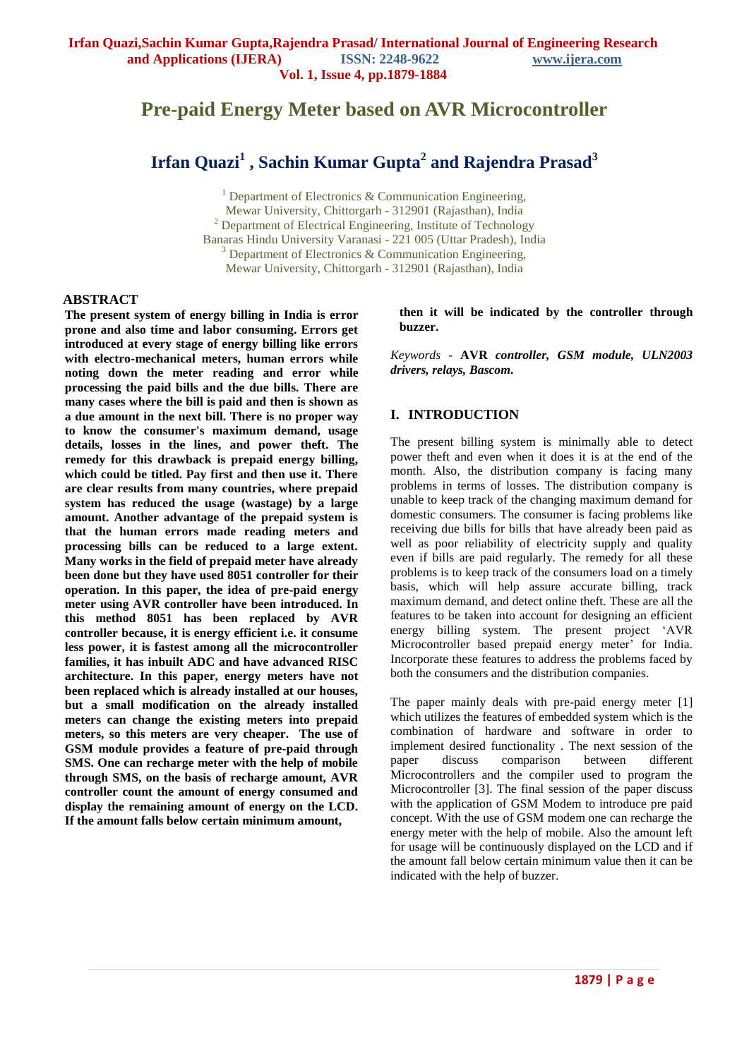# **Pre-paid Energy Meter based on AVR Microcontroller**

# **Irfan Quazi<sup>1</sup> , Sachin Kumar Gupta<sup>2</sup> and Rajendra Prasad<sup>3</sup>**

<sup>1</sup> Department of Electronics & Communication Engineering, Mewar University, Chittorgarh - 312901 (Rajasthan), India <sup>2</sup> Department of Electrical Engineering, Institute of Technology Banaras Hindu University Varanasi - 221 005 (Uttar Pradesh), India <sup>3</sup> Department of Electronics & Communication Engineering, Mewar University, Chittorgarh - 312901 (Rajasthan), India

#### **ABSTRACT**

**The present system of energy billing in India is error prone and also time and labor consuming. Errors get introduced at every stage of energy billing like errors with electro-mechanical meters, human errors while noting down the meter reading and error while processing the paid bills and the due bills. There are many cases where the bill is paid and then is shown as a due amount in the next bill. There is no proper way to know the consumer's maximum demand, usage details, losses in the lines, and power theft. The remedy for this drawback is prepaid energy billing, which could be titled. Pay first and then use it. There are clear results from many countries, where prepaid system has reduced the usage (wastage) by a large amount. Another advantage of the prepaid system is that the human errors made reading meters and processing bills can be reduced to a large extent. Many works in the field of prepaid meter have already been done but they have used 8051 controller for their operation. In this paper, the idea of pre-paid energy meter using AVR controller have been introduced. In this method 8051 has been replaced by AVR controller because, it is energy efficient i.e. it consume less power, it is fastest among all the microcontroller families, it has inbuilt ADC and have advanced RISC architecture. In this paper, energy meters have not been replaced which is already installed at our houses, but a small modification on the already installed meters can change the existing meters into prepaid meters, so this meters are very cheaper. The use of GSM module provides a feature of pre-paid through SMS. One can recharge meter with the help of mobile through SMS, on the basis of recharge amount, AVR controller count the amount of energy consumed and display the remaining amount of energy on the LCD. If the amount falls below certain minimum amount,** 

**then it will be indicated by the controller through buzzer.** 

*Keywords -* **AVR** *controller, GSM module, ULN2003 drivers, relays, Bascom.*

#### **I. INTRODUCTION**

The present billing system is minimally able to detect power theft and even when it does it is at the end of the month. Also, the distribution company is facing many problems in terms of losses. The distribution company is unable to keep track of the changing maximum demand for domestic consumers. The consumer is facing problems like receiving due bills for bills that have already been paid as well as poor reliability of electricity supply and quality even if bills are paid regularly. The remedy for all these problems is to keep track of the consumers load on a timely basis, which will help assure accurate billing, track maximum demand, and detect online theft. These are all the features to be taken into account for designing an efficient energy billing system. The present project "AVR Microcontroller based prepaid energy meter' for India. Incorporate these features to address the problems faced by both the consumers and the distribution companies.

The paper mainly deals with pre-paid energy meter [1] which utilizes the features of embedded system which is the combination of hardware and software in order to implement desired functionality . The next session of the paper discuss comparison between different Microcontrollers and the compiler used to program the Microcontroller [3]. The final session of the paper discuss with the application of GSM Modem to introduce pre paid concept. With the use of GSM modem one can recharge the energy meter with the help of mobile. Also the amount left for usage will be continuously displayed on the LCD and if the amount fall below certain minimum value then it can be indicated with the help of buzzer.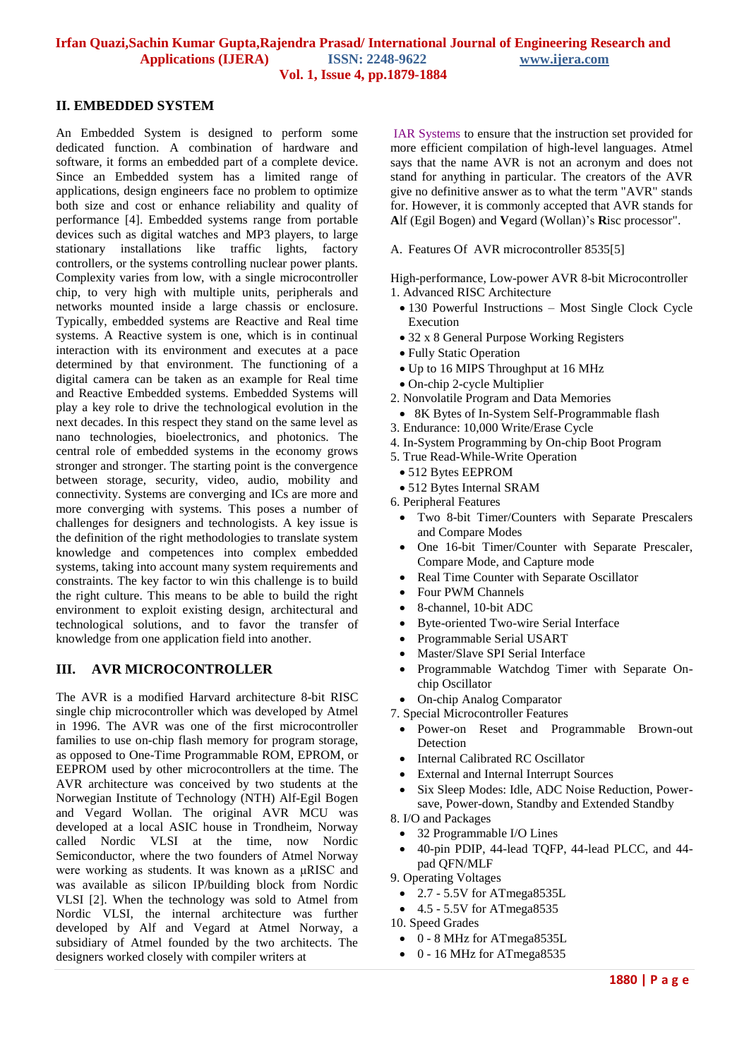#### **Irfan Quazi,Sachin Kumar Gupta,Rajendra Prasad/ International Journal of Engineering Research and Applications (IJERA) ISSN: 2248-9622 www.ijera.com Vol. 1, Issue 4, pp.1879-1884**

#### **II. EMBEDDED SYSTEM**

An Embedded System is designed to perform some dedicated function. A combination of hardware and software, it forms an embedded part of a complete device. Since an Embedded system has a limited range of applications, design engineers face no problem to optimize both size and cost or enhance reliability and quality of performance [4]. Embedded systems range from portable devices such as digital watches and MP3 players, to large stationary installations like traffic lights, factory controllers, or the systems controlling nuclear power plants. Complexity varies from low, with a single microcontroller chip, to very high with multiple units, peripherals and networks mounted inside a large chassis or enclosure. Typically, embedded systems are Reactive and Real time systems. A Reactive system is one, which is in continual interaction with its environment and executes at a pace determined by that environment. The functioning of a digital camera can be taken as an example for Real time and Reactive Embedded systems. Embedded Systems will play a key role to drive the technological evolution in the next decades. In this respect they stand on the same level as nano technologies, bioelectronics, and photonics. The central role of embedded systems in the economy grows stronger and stronger. The starting point is the convergence between storage, security, video, audio, mobility and connectivity. Systems are converging and ICs are more and more converging with systems. This poses a number of challenges for designers and technologists. A key issue is the definition of the right methodologies to translate system knowledge and competences into complex embedded systems, taking into account many system requirements and constraints. The key factor to win this challenge is to build the right culture. This means to be able to build the right environment to exploit existing design, architectural and technological solutions, and to favor the transfer of knowledge from one application field into another.

### **III. AVR MICROCONTROLLER**

The AVR is a [modified Harvard architecture](http://en.wikipedia.org/wiki/Modified_Harvard_architecture) [8-bit](http://en.wikipedia.org/wiki/8-bit) [RISC](http://en.wikipedia.org/wiki/Reduced_instruction_set_computer) single chip [microcontroller](http://en.wikipedia.org/wiki/Microcontroller) which was developed by [Atmel](http://en.wikipedia.org/wiki/Atmel) in 1996. The AVR was one of the first microcontroller families to use on-chip [flash memory](http://en.wikipedia.org/wiki/Flash_memory) for program storage, as opposed to [One-Time Programmable ROM,](http://en.wikipedia.org/wiki/Programmable_read-only_memory) [EPROM,](http://en.wikipedia.org/wiki/EPROM) or [EEPROM](http://en.wikipedia.org/wiki/EEPROM) used by other microcontrollers at the time. The AVR architecture was conceived by two students at the [Norwegian Institute of Technology](http://en.wikipedia.org/wiki/Norwegian_Institute_of_Technology) (NTH) [Alf-Egil Bogen](http://en.wikipedia.org/w/index.php?title=Alf-Egil_Bogen&action=edit&redlink=1) and [Vegard Wollan.](http://en.wikipedia.org/w/index.php?title=Vegard_Wollan&action=edit&redlink=1) The original AVR MCU was developed at a local [ASIC](http://en.wikipedia.org/wiki/ASIC) house in [Trondheim, Norway](http://en.wikipedia.org/wiki/Trondheim,_Norway) called Nordic VLSI at the time, now Nordic Semiconductor, where the two founders of Atmel Norway were working as students. It was known as a μRISC and was available as silicon IP/building block from Nordic VLSI [2]. When the technology was sold to Atmel from Nordic VLSI, the internal architecture was further developed by Alf and Vegard at Atmel Norway, a subsidiary of Atmel founded by the two architects. The designers worked closely with compiler writers at

[IAR Systems](http://en.wikipedia.org/wiki/IAR_Systems) to ensure that the instruction set provided for more efficient [compilation](http://en.wikipedia.org/wiki/Compiler) of [high-level languages.](http://en.wikipedia.org/wiki/High-level_programming_language) Atmel says that the name AVR is not an acronym and does not stand for anything in particular. The creators of the AVR give no definitive answer as to what the term "AVR" stands for. However, it is commonly accepted that AVR stands for **A**lf (Egil Bogen) and **V**egard (Wollan)"s **R**isc processor".

A. Features Of AVR microcontroller 8535[5]

High-performance, Low-power AVR 8-bit Microcontroller 1. Advanced RISC Architecture

- 130 Powerful Instructions Most Single Clock Cycle Execution
- 32 x 8 General Purpose Working Registers
- Fully Static Operation
- Up to 16 MIPS Throughput at 16 MHz
- On-chip 2-cycle Multiplier
- 2. Nonvolatile Program and Data Memories
- 8K Bytes of In-System Self-Programmable flash
- 3. Endurance: 10,000 Write/Erase Cycle
- 4. In-System Programming by On-chip Boot Program
- 5. True Read-While-Write Operation
	- 512 Bytes EEPROM
- 512 Bytes Internal SRAM
- 6. Peripheral Features
- Two 8-bit Timer/Counters with Separate Prescalers and Compare Modes
- One 16-bit Timer/Counter with Separate Prescaler, Compare Mode, and Capture mode
- Real Time Counter with Separate Oscillator
- Four PWM Channels
- 8-channel, 10-bit ADC
- Byte-oriented Two-wire Serial Interface
- Programmable Serial USART
- Master/Slave SPI Serial Interface
- Programmable Watchdog Timer with Separate Onchip Oscillator
- On-chip Analog Comparator

7. Special Microcontroller Features

- Power-on Reset and Programmable Brown-out Detection
- Internal Calibrated RC Oscillator
- External and Internal Interrupt Sources
- Six Sleep Modes: Idle, ADC Noise Reduction, Powersave, Power-down, Standby and Extended Standby

8. I/O and Packages

- 32 Programmable I/O Lines
- 40-pin PDIP, 44-lead TQFP, 44-lead PLCC, and 44 pad QFN/MLF

9. Operating Voltages

- 2.7 5.5V for ATmega8535L
- $-4.5 5.5V$  for ATmega $8535$

10. Speed Grades

- 0 8 MHz for ATmega8535L
- $\bullet$  0 16 MHz for ATmega 8535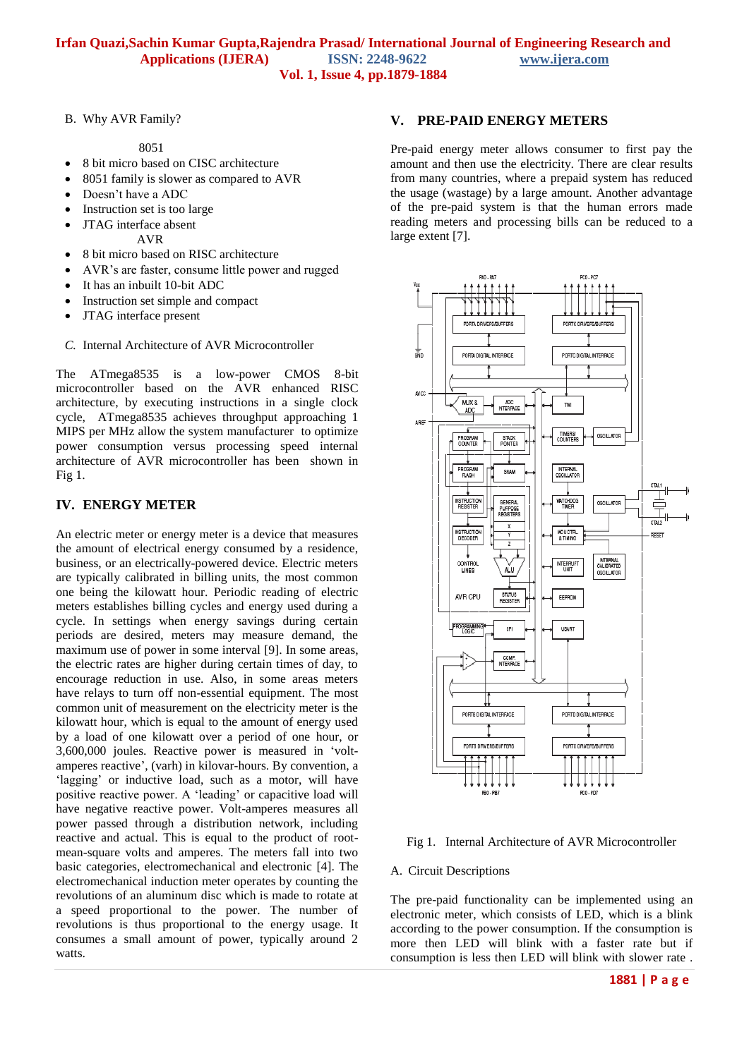B. Why AVR Family?

8051

- 8 bit micro based on CISC architecture
- 8051 family is slower as compared to AVR
- Doesn't have a ADC
- Instruction set is too large
- JTAG interface absent

AVR

- 8 bit micro based on RISC architecture
- AVR"s are faster, consume little power and rugged
- It has an inbuilt 10-bit ADC
- Instruction set simple and compact
- JTAG interface present
- *C.* Internal Architecture of AVR Microcontroller

The ATmega8535 is a low-power CMOS 8-bit microcontroller based on the AVR enhanced RISC architecture, by executing instructions in a single clock cycle, ATmega8535 achieves throughput approaching 1 MIPS per MHz allow the system manufacturer to optimize power consumption versus processing speed internal architecture of AVR microcontroller has been shown in Fig 1.

# **IV. ENERGY METER**

An electric meter or energy meter is a device that measures the amount of [electrical](http://en.wikipedia.org/wiki/Electricity) [energy](http://en.wikipedia.org/wiki/Energy) consumed by a [residence,](http://en.wikipedia.org/wiki/House)  [business,](http://en.wikipedia.org/wiki/Business) or an electrically-powered device. Electric meters are typically calibrated in billing units, the most common one being the [kilowatt hour.](http://en.wikipedia.org/wiki/Kilowatt_hour) Periodic reading of electric meters establishes billing cycles and energy used during a cycle. In settings when energy savings during certain periods are desired, meters may measure demand, the maximum use of power in some interval [9]. In some areas, the electric rates are higher during certain times of day, to encourage reduction in use. Also, in some areas meters have relays to turn off non-essential equipment. The most common unit of measurement on the electricity meter is the [kilowatt hour,](http://en.wikipedia.org/wiki/Kilowatt_hour) which is equal to the amount of energy used by a load of one [kilowatt](http://en.wikipedia.org/wiki/Kilowatt) over a period of one [hour,](http://en.wikipedia.org/wiki/Hour) or 3,600,000 [joules.](http://en.wikipedia.org/wiki/Joule) [Reactive power](http://en.wikipedia.org/wiki/Reactive_power) is measured in ["volt](http://en.wikipedia.org/wiki/Volt-amperes_reactive)[amperes reactive"](http://en.wikipedia.org/wiki/Volt-amperes_reactive), (varh) in kilovar-hours. By convention, a 'lagging' or [inductive](http://en.wikipedia.org/wiki/Inductance) load, such as a motor, will have positive reactive power. A "leading" or [capacitive](http://en.wikipedia.org/wiki/Capacitive) load will have negative reactive power. Volt-amperes measures all power passed through a distribution network, including reactive and actual. This is equal to the product of rootmean-square volts and amperes. The meters fall into two basic categories, electromechanical and electronic [4]. The electromechanical [induction](http://en.wikipedia.org/wiki/Electromagnetic_induction) meter operates by counting the revolutions of an [aluminum](http://en.wikipedia.org/wiki/Aluminium) disc which is made to rotate at a speed proportional to the power. The number of revolutions is thus proportional to the energy usage. It consumes a small amount of power, typically around 2 watts.

### **V. PRE-PAID ENERGY METERS**

Pre-paid energy meter allows consumer to first pay the amount and then use the electricity. There are clear results from many countries, where a prepaid system has reduced the usage (wastage) by a large amount. Another advantage of the pre-paid system is that the human errors made reading meters and processing bills can be reduced to a large extent [7].



Fig 1. Internal Architecture of AVR Microcontroller

#### A. Circuit Descriptions

The pre-paid functionality can be implemented using an electronic meter, which consists of LED, which is a blink according to the power consumption. If the consumption is more then LED will blink with a faster rate but if consumption is less then LED will blink with slower rate .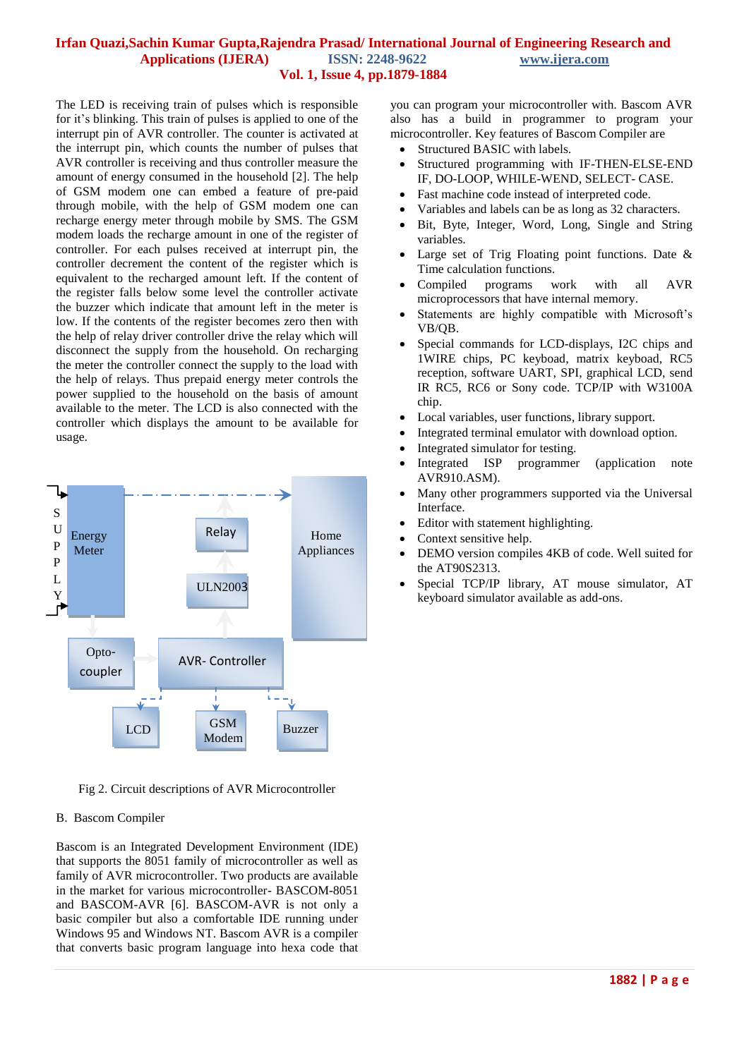#### **Irfan Quazi,Sachin Kumar Gupta,Rajendra Prasad/ International Journal of Engineering Research and Applications (IJERA) ISSN: 2248-9622 www.ijera.com Vol. 1, Issue 4, pp.1879-1884**

The LED is receiving train of pulses which is responsible for it"s blinking. This train of pulses is applied to one of the interrupt pin of AVR controller. The counter is activated at the interrupt pin, which counts the number of pulses that AVR controller is receiving and thus controller measure the amount of energy consumed in the household [2]. The help of GSM modem one can embed a feature of pre-paid through mobile, with the help of GSM modem one can recharge energy meter through mobile by SMS. The GSM modem loads the recharge amount in one of the register of controller. For each pulses received at interrupt pin, the controller decrement the content of the register which is equivalent to the recharged amount left. If the content of the register falls below some level the controller activate the buzzer which indicate that amount left in the meter is low. If the contents of the register becomes zero then with the help of relay driver controller drive the relay which will disconnect the supply from the household. On recharging the meter the controller connect the supply to the load with the help of relays. Thus prepaid energy meter controls the power supplied to the household on the basis of amount available to the meter. The LCD is also connected with the controller which displays the amount to be available for usage.



Fig 2. Circuit descriptions of AVR Microcontroller

#### B. Bascom Compiler

Bascom is an Integrated Development Environment (IDE) that supports the 8051 family of microcontroller as well as family of AVR microcontroller. Two products are available in the market for various microcontroller- BASCOM-8051 and BASCOM-AVR [6]. BASCOM-AVR is not only a basic compiler but also a comfortable IDE running under Windows 95 and Windows NT. Bascom AVR is a compiler that converts basic program language into hexa code that

you can program your microcontroller with. Bascom AVR also has a build in programmer to program your microcontroller. Key features of Bascom Compiler are

- Structured BASIC with labels.
- Structured programming with IF-THEN-ELSE-END IF, DO-LOOP, WHILE-WEND, SELECT- CASE.
- Fast machine code instead of interpreted code.
- Variables and labels can be as long as 32 characters.
- Bit, Byte, Integer, Word, Long, Single and String variables.
- Large set of Trig Floating point functions. Date & Time calculation functions.
- Compiled programs work with all AVR microprocessors that have internal memory.
- Statements are highly compatible with Microsoft's VB/QB.
- Special commands for LCD-displays, I2C chips and 1WIRE chips, PC keyboad, matrix keyboad, RC5 reception, software UART, SPI, graphical LCD, send IR RC5, RC6 or Sony code. TCP/IP with W3100A chip.
- Local variables, user functions, library support.
- Integrated terminal emulator with download option.
- Integrated simulator for testing.
- Integrated ISP programmer (application note AVR910.ASM).
- Many other programmers supported via the Universal Interface.
- Editor with statement highlighting.
- Context sensitive help.
- DEMO version compiles 4KB of code. Well suited for the AT90S2313.
- Special TCP/IP library, AT mouse simulator, AT keyboard simulator available as add-ons.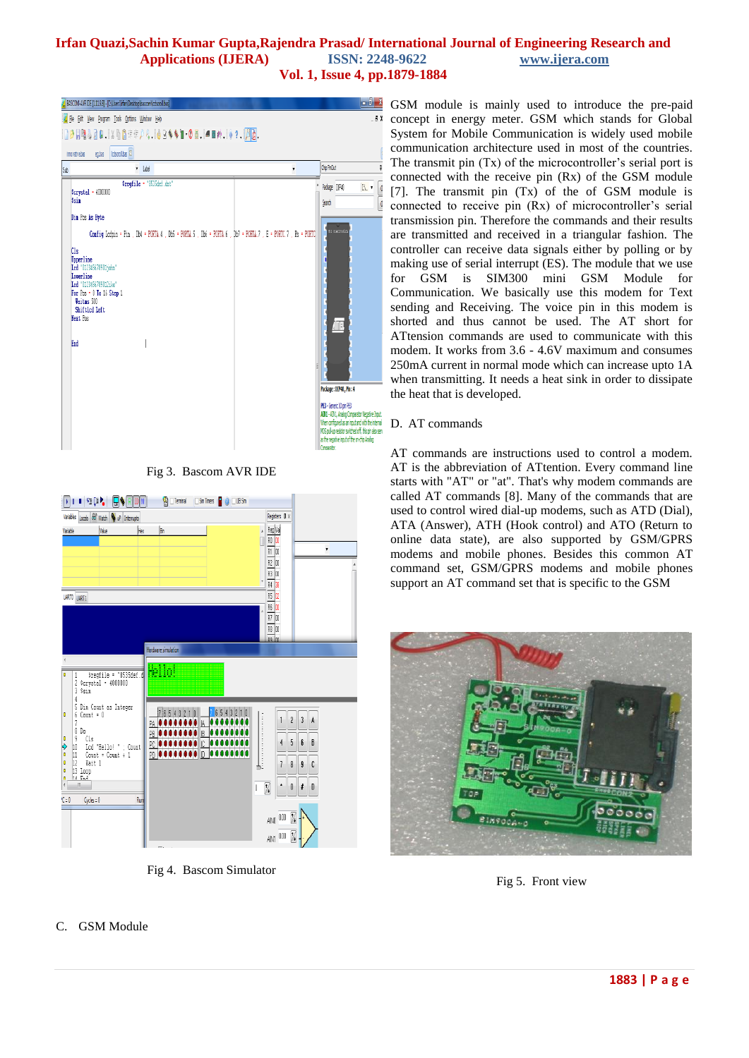## **Irfan Quazi,Sachin Kumar Gupta,Rajendra Prasad/ International Journal of Engineering Research and Applications (IJERA) ISSN: 2248-9622 www.ijera.com**

**Vol. 1, Issue 4, pp.1879-1884**



Fig 3. Bascom AVR IDE



Fig 4. Bascom Simulator

GSM module is mainly used to introduce the pre-paid concept in energy meter. GSM which stands for Global System for Mobile Communication is widely used mobile communication architecture used in most of the countries. The transmit pin  $(Tx)$  of the microcontroller's serial port is connected with the receive pin (Rx) of the GSM module [7]. The transmit pin (Tx) of the of GSM module is connected to receive pin  $(Rx)$  of microcontroller's serial transmission pin. Therefore the commands and their results are transmitted and received in a triangular fashion. The controller can receive data signals either by polling or by making use of serial interrupt (ES). The module that we use for GSM is SIM300 mini GSM Module for Communication. We basically use this modem for Text sending and Receiving. The voice pin in this modem is shorted and thus cannot be used. The AT short for ATtension commands are used to communicate with this modem. It works from 3.6 - 4.6V maximum and consumes 250mA current in normal mode which can increase upto 1A when transmitting. It needs a heat sink in order to dissipate the heat that is developed.

### D. AT commands

AT commands are instructions used to control a modem. AT is the abbreviation of ATtention. Every command line starts with "AT" or "at". That's why modem commands are called AT commands [8]. Many of the commands that are used to control wired dial-up modems, such as ATD (Dial), ATA (Answer), ATH (Hook control) and ATO (Return to online data state), are also supported by GSM/GPRS modems and mobile phones. Besides this common AT command set, GSM/GPRS modems and mobile phones support an AT command set that is specific to the GSM



Fig 5. Front view

### C. GSM Module